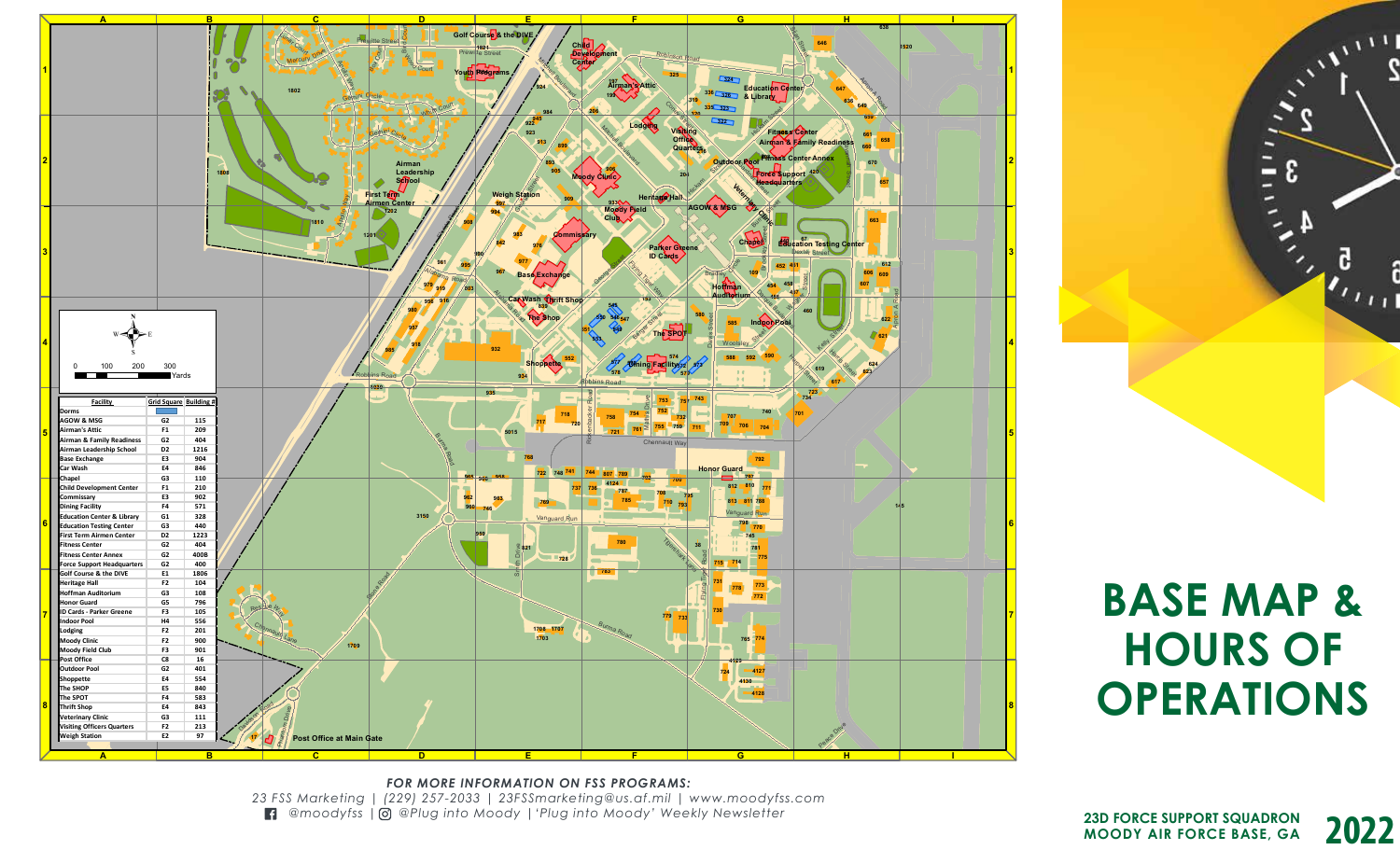

*FOR MORE INFORMATION ON FSS PROGRAMS: 23 FSS Marketing | (229) 257-2033 | 23FSSmarketing@us.af.mil | www.moodyfss.com @moodyfss | @Plug into Moody |'Plug into Moody' Weekly Newsletter* 

**BASE MAP & HOURS OF OPERATIONS**

 $\sqrt{1 + \frac{1}{2}}$ 

G.

 $\boldsymbol{v}_{t+1}$ 

 $\ddot{\phantom{0}}$  $\mathbf{2}$ 

£

**2022 23D FORCE SUPPORT SQUADRON MOODY AIR FORCE BASE, GA**